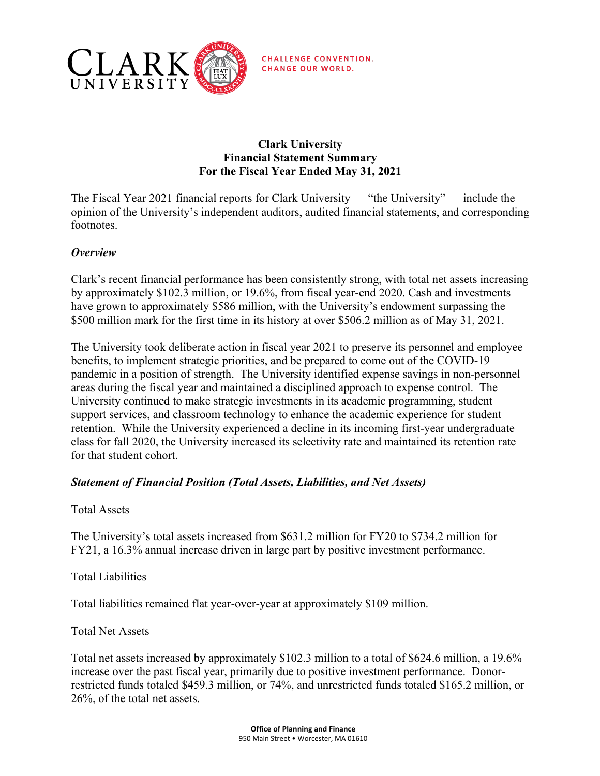

**CHALLENGE CONVENTION. CHANGE OUR WORLD.** 

## **Clark University Financial Statement Summary For the Fiscal Year Ended May 31, 2021**

The Fiscal Year 2021 financial reports for Clark University — "the University" — include the opinion of the University's independent auditors, audited financial statements, and corresponding footnotes.

# *Overview*

Clark's recent financial performance has been consistently strong, with total net assets increasing by approximately \$102.3 million, or 19.6%, from fiscal year-end 2020. Cash and investments have grown to approximately \$586 million, with the University's endowment surpassing the \$500 million mark for the first time in its history at over \$506.2 million as of May 31, 2021.

The University took deliberate action in fiscal year 2021 to preserve its personnel and employee benefits, to implement strategic priorities, and be prepared to come out of the COVID-19 pandemic in a position of strength. The University identified expense savings in non-personnel areas during the fiscal year and maintained a disciplined approach to expense control. The University continued to make strategic investments in its academic programming, student support services, and classroom technology to enhance the academic experience for student retention. While the University experienced a decline in its incoming first-year undergraduate class for fall 2020, the University increased its selectivity rate and maintained its retention rate for that student cohort.

### *Statement of Financial Position (Total Assets, Liabilities, and Net Assets)*

Total Assets

The University's total assets increased from \$631.2 million for FY20 to \$734.2 million for FY21, a 16.3% annual increase driven in large part by positive investment performance.

Total Liabilities

Total liabilities remained flat year-over-year at approximately \$109 million.

Total Net Assets

Total net assets increased by approximately \$102.3 million to a total of \$624.6 million, a 19.6% increase over the past fiscal year, primarily due to positive investment performance. Donorrestricted funds totaled \$459.3 million, or 74%, and unrestricted funds totaled \$165.2 million, or 26%, of the total net assets.